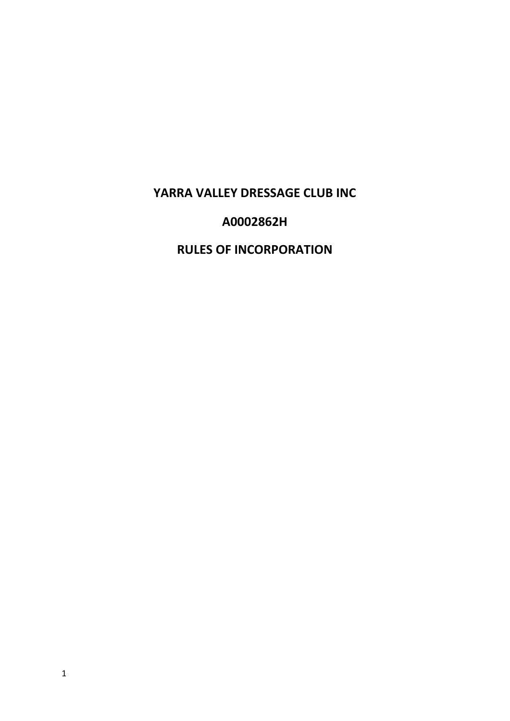# **YARRA VALLEY DRESSAGE CLUB INC**

# **A0002862H**

# **RULES OF INCORPORATION**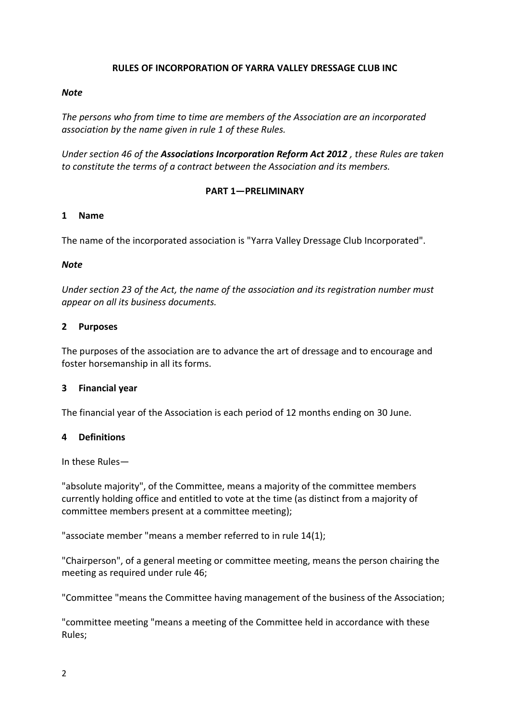# **RULES OF INCORPORATION OF YARRA VALLEY DRESSAGE CLUB INC**

# *Note*

*The persons who from time to time are members of the Association are an incorporated association by the name given in rule 1 of these Rules.* 

*Under section 46 of the Associations Incorporation Reform Act 2012 , these Rules are taken to constitute the terms of a contract between the Association and its members.* 

# **PART 1—PRELIMINARY**

# **1 Name**

The name of the incorporated association is "Yarra Valley Dressage Club Incorporated".

# *Note*

*Under section 23 of the Act, the name of the association and its registration number must appear on all its business documents.* 

# **2 Purposes**

The purposes of the association are to advance the art of dressage and to encourage and foster horsemanship in all its forms.

# **3 Financial year**

The financial year of the Association is each period of 12 months ending on 30 June.

# **4 Definitions**

In these Rules—

"absolute majority", of the Committee, means a majority of the committee members currently holding office and entitled to vote at the time (as distinct from a majority of committee members present at a committee meeting);

"associate member "means a member referred to in rule 14(1);

"Chairperson", of a general meeting or committee meeting, means the person chairing the meeting as required under rule 46;

"Committee "means the Committee having management of the business of the Association;

"committee meeting "means a meeting of the Committee held in accordance with these Rules;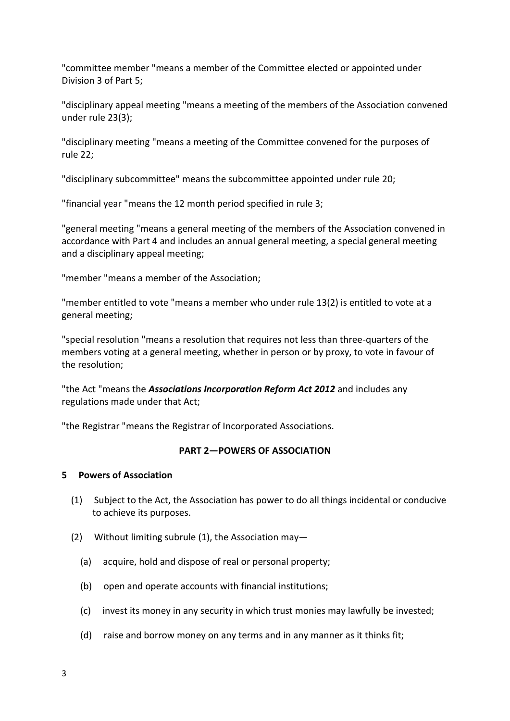"committee member "means a member of the Committee elected or appointed under Division 3 of Part 5;

"disciplinary appeal meeting "means a meeting of the members of the Association convened under rule 23(3);

"disciplinary meeting "means a meeting of the Committee convened for the purposes of rule 22;

"disciplinary subcommittee" means the subcommittee appointed under rule 20;

"financial year "means the 12 month period specified in rule 3;

"general meeting "means a general meeting of the members of the Association convened in accordance with Part 4 and includes an annual general meeting, a special general meeting and a disciplinary appeal meeting;

"member "means a member of the Association;

"member entitled to vote "means a member who under rule 13(2) is entitled to vote at a general meeting;

"special resolution "means a resolution that requires not less than three-quarters of the members voting at a general meeting, whether in person or by proxy, to vote in favour of the resolution;

"the Act "means the *Associations Incorporation Reform Act 2012* and includes any regulations made under that Act;

"the Registrar "means the Registrar of Incorporated Associations.

# **PART 2—POWERS OF ASSOCIATION**

# **5 Powers of Association**

- (1) Subject to the Act, the Association has power to do all things incidental or conducive to achieve its purposes.
- (2) Without limiting subrule (1), the Association may—
	- (a) acquire, hold and dispose of real or personal property;
	- (b) open and operate accounts with financial institutions;
	- (c) invest its money in any security in which trust monies may lawfully be invested;
	- (d) raise and borrow money on any terms and in any manner as it thinks fit;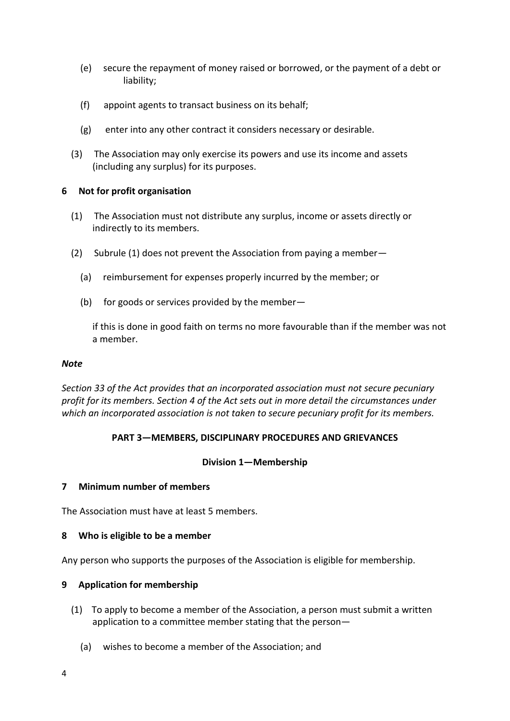- (e) secure the repayment of money raised or borrowed, or the payment of a debt or liability;
- (f) appoint agents to transact business on its behalf;
- (g) enter into any other contract it considers necessary or desirable.
- (3) The Association may only exercise its powers and use its income and assets (including any surplus) for its purposes.

# **6 Not for profit organisation**

- (1) The Association must not distribute any surplus, income or assets directly or indirectly to its members.
- (2) Subrule (1) does not prevent the Association from paying a member—
	- (a) reimbursement for expenses properly incurred by the member; or
	- (b) for goods or services provided by the member—

if this is done in good faith on terms no more favourable than if the member was not a member.

## *Note*

*Section 33 of the Act provides that an incorporated association must not secure pecuniary profit for its members. Section 4 of the Act sets out in more detail the circumstances under which an incorporated association is not taken to secure pecuniary profit for its members.* 

# **PART 3—MEMBERS, DISCIPLINARY PROCEDURES AND GRIEVANCES**

# **Division 1—Membership**

# **7 Minimum number of members**

The Association must have at least 5 members.

# **8 Who is eligible to be a member**

Any person who supports the purposes of the Association is eligible for membership.

# **9 Application for membership**

- (1) To apply to become a member of the Association, a person must submit a written application to a committee member stating that the person—
	- (a) wishes to become a member of the Association; and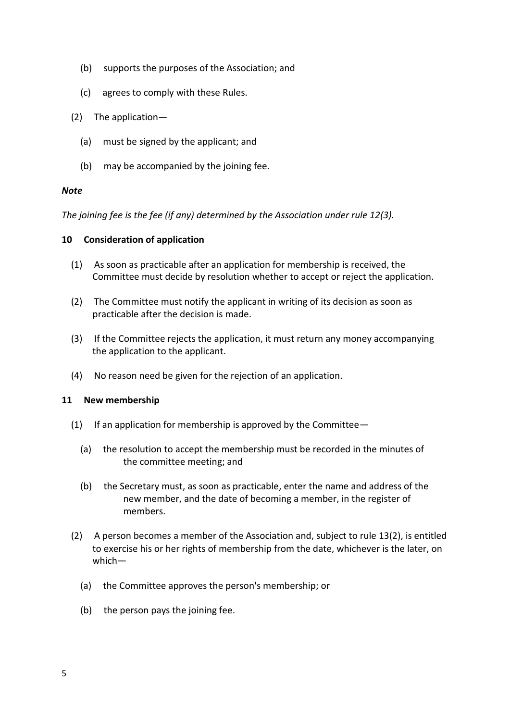- (b) supports the purposes of the Association; and
- (c) agrees to comply with these Rules.
- (2) The application—
	- (a) must be signed by the applicant; and
	- (b) may be accompanied by the joining fee.

# *Note*

*The joining fee is the fee (if any) determined by the Association under rule 12(3).* 

# **10 Consideration of application**

- (1) As soon as practicable after an application for membership is received, the Committee must decide by resolution whether to accept or reject the application.
- (2) The Committee must notify the applicant in writing of its decision as soon as practicable after the decision is made.
- (3) If the Committee rejects the application, it must return any money accompanying the application to the applicant.
- (4) No reason need be given for the rejection of an application.

# **11 New membership**

- (1) If an application for membership is approved by the Committee  $-$ 
	- (a) the resolution to accept the membership must be recorded in the minutes of the committee meeting; and
	- (b) the Secretary must, as soon as practicable, enter the name and address of the new member, and the date of becoming a member, in the register of members.
- (2) A person becomes a member of the Association and, subject to rule 13(2), is entitled to exercise his or her rights of membership from the date, whichever is the later, on which—
	- (a) the Committee approves the person's membership; or
	- (b) the person pays the joining fee.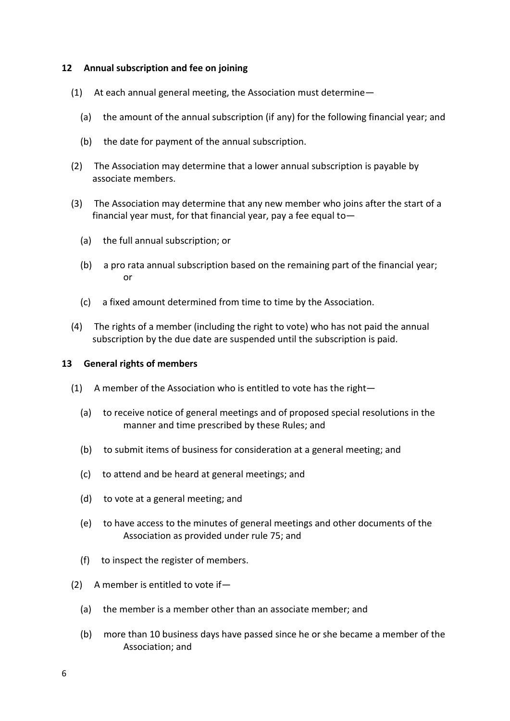# **12 Annual subscription and fee on joining**

- (1) At each annual general meeting, the Association must determine—
	- (a) the amount of the annual subscription (if any) for the following financial year; and
	- (b) the date for payment of the annual subscription.
- (2) The Association may determine that a lower annual subscription is payable by associate members.
- (3) The Association may determine that any new member who joins after the start of a financial year must, for that financial year, pay a fee equal to—
	- (a) the full annual subscription; or
	- (b) a pro rata annual subscription based on the remaining part of the financial year; or
	- (c) a fixed amount determined from time to time by the Association.
- (4) The rights of a member (including the right to vote) who has not paid the annual subscription by the due date are suspended until the subscription is paid.

# **13 General rights of members**

- (1) A member of the Association who is entitled to vote has the right—
	- (a) to receive notice of general meetings and of proposed special resolutions in the manner and time prescribed by these Rules; and
	- (b) to submit items of business for consideration at a general meeting; and
	- (c) to attend and be heard at general meetings; and
	- (d) to vote at a general meeting; and
	- (e) to have access to the minutes of general meetings and other documents of the Association as provided under rule 75; and
	- (f) to inspect the register of members.
- (2) A member is entitled to vote if—
	- (a) the member is a member other than an associate member; and
	- (b) more than 10 business days have passed since he or she became a member of the Association; and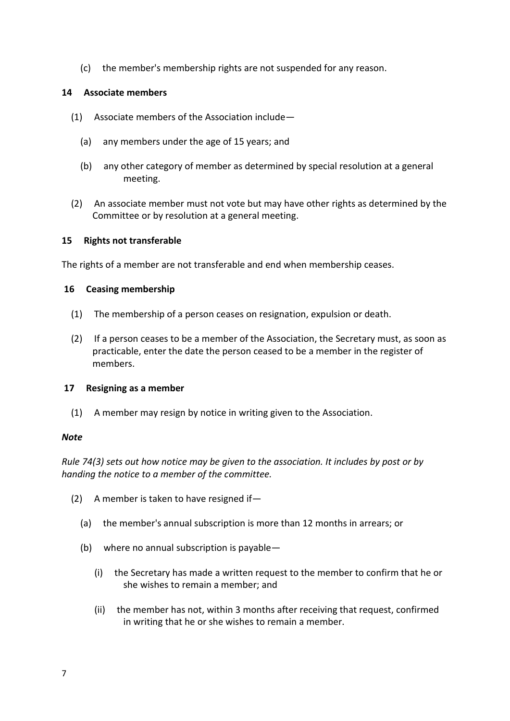(c) the member's membership rights are not suspended for any reason.

# **14 Associate members**

- (1) Associate members of the Association include—
	- (a) any members under the age of 15 years; and
	- (b) any other category of member as determined by special resolution at a general meeting.
- (2) An associate member must not vote but may have other rights as determined by the Committee or by resolution at a general meeting.

# **15 Rights not transferable**

The rights of a member are not transferable and end when membership ceases.

# **16 Ceasing membership**

- (1) The membership of a person ceases on resignation, expulsion or death.
- (2) If a person ceases to be a member of the Association, the Secretary must, as soon as practicable, enter the date the person ceased to be a member in the register of members.

# **17 Resigning as a member**

(1) A member may resign by notice in writing given to the Association.

# *Note*

*Rule 74(3) sets out how notice may be given to the association. It includes by post or by handing the notice to a member of the committee.* 

- (2) A member is taken to have resigned if—
	- (a) the member's annual subscription is more than 12 months in arrears; or
	- (b) where no annual subscription is payable—
		- (i) the Secretary has made a written request to the member to confirm that he or she wishes to remain a member; and
		- (ii) the member has not, within 3 months after receiving that request, confirmed in writing that he or she wishes to remain a member.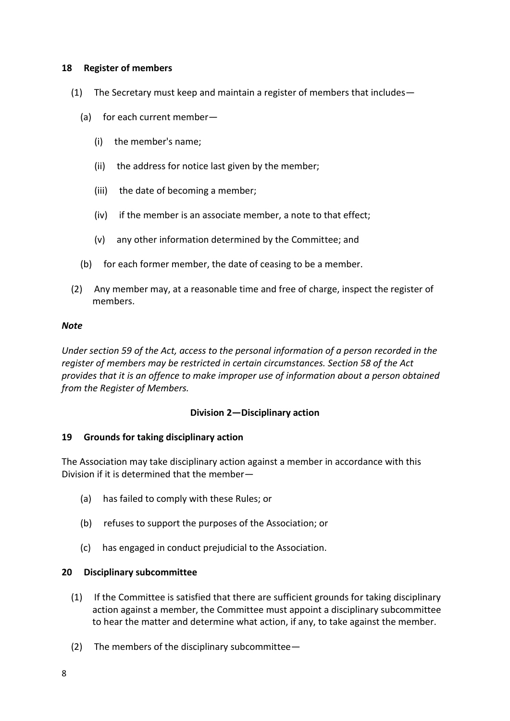# **18 Register of members**

- (1) The Secretary must keep and maintain a register of members that includes—
	- (a) for each current member—
		- (i) the member's name;
		- (ii) the address for notice last given by the member;
		- (iii) the date of becoming a member;
		- (iv) if the member is an associate member, a note to that effect;
		- (v) any other information determined by the Committee; and
	- (b) for each former member, the date of ceasing to be a member.
- (2) Any member may, at a reasonable time and free of charge, inspect the register of members.

#### *Note*

*Under section 59 of the Act, access to the personal information of a person recorded in the register of members may be restricted in certain circumstances. Section 58 of the Act provides that it is an offence to make improper use of information about a person obtained from the Register of Members.* 

# **Division 2—Disciplinary action**

# **19 Grounds for taking disciplinary action**

The Association may take disciplinary action against a member in accordance with this Division if it is determined that the member—

- (a) has failed to comply with these Rules; or
- (b) refuses to support the purposes of the Association; or
- (c) has engaged in conduct prejudicial to the Association.

# **20 Disciplinary subcommittee**

- (1) If the Committee is satisfied that there are sufficient grounds for taking disciplinary action against a member, the Committee must appoint a disciplinary subcommittee to hear the matter and determine what action, if any, to take against the member.
- (2) The members of the disciplinary subcommittee—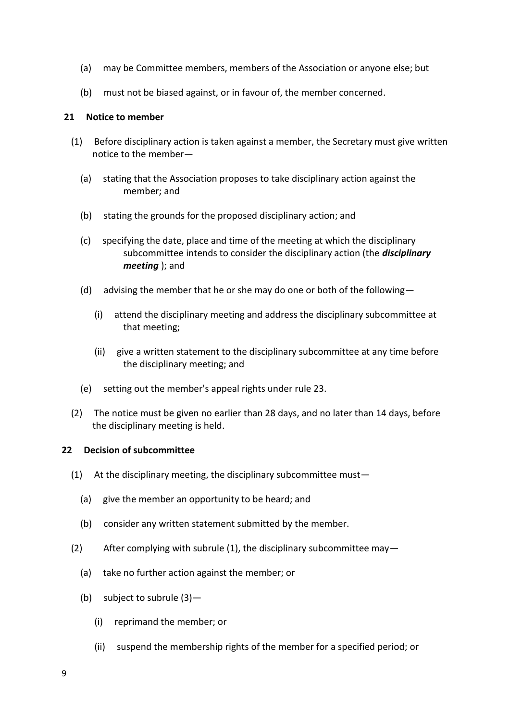- (a) may be Committee members, members of the Association or anyone else; but
- (b) must not be biased against, or in favour of, the member concerned.

# **21 Notice to member**

- (1) Before disciplinary action is taken against a member, the Secretary must give written notice to the member—
	- (a) stating that the Association proposes to take disciplinary action against the member; and
	- (b) stating the grounds for the proposed disciplinary action; and
	- (c) specifying the date, place and time of the meeting at which the disciplinary subcommittee intends to consider the disciplinary action (the *disciplinary meeting* ); and
	- (d) advising the member that he or she may do one or both of the following  $-$ 
		- (i) attend the disciplinary meeting and address the disciplinary subcommittee at that meeting;
		- (ii) give a written statement to the disciplinary subcommittee at any time before the disciplinary meeting; and
	- (e) setting out the member's appeal rights under rule 23.
- (2) The notice must be given no earlier than 28 days, and no later than 14 days, before the disciplinary meeting is held.

# **22 Decision of subcommittee**

- (1) At the disciplinary meeting, the disciplinary subcommittee must—
	- (a) give the member an opportunity to be heard; and
	- (b) consider any written statement submitted by the member.
- (2) After complying with subrule (1), the disciplinary subcommittee may—
	- (a) take no further action against the member; or
	- (b) subject to subrule (3)—
		- (i) reprimand the member; or
		- (ii) suspend the membership rights of the member for a specified period; or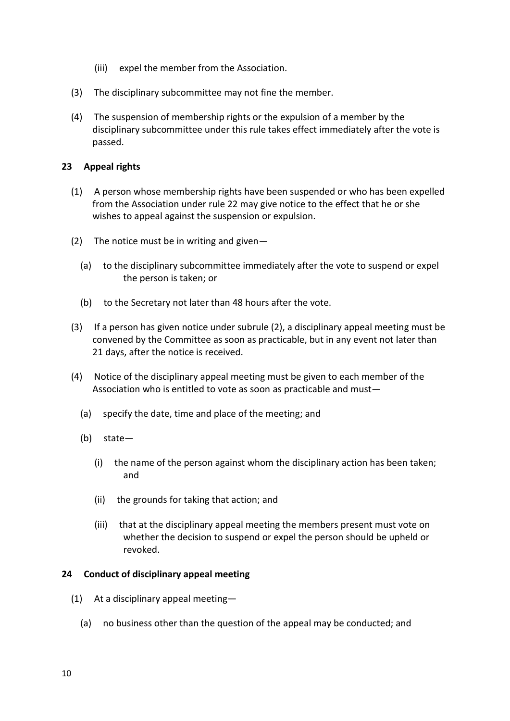- (iii) expel the member from the Association.
- (3) The disciplinary subcommittee may not fine the member.
- (4) The suspension of membership rights or the expulsion of a member by the disciplinary subcommittee under this rule takes effect immediately after the vote is passed.

# **23 Appeal rights**

- (1) A person whose membership rights have been suspended or who has been expelled from the Association under rule 22 may give notice to the effect that he or she wishes to appeal against the suspension or expulsion.
- (2) The notice must be in writing and given-
	- (a) to the disciplinary subcommittee immediately after the vote to suspend or expel the person is taken; or
	- (b) to the Secretary not later than 48 hours after the vote.
- (3) If a person has given notice under subrule (2), a disciplinary appeal meeting must be convened by the Committee as soon as practicable, but in any event not later than 21 days, after the notice is received.
- (4) Notice of the disciplinary appeal meeting must be given to each member of the Association who is entitled to vote as soon as practicable and must—
	- (a) specify the date, time and place of the meeting; and
	- (b) state—
		- (i) the name of the person against whom the disciplinary action has been taken; and
		- (ii) the grounds for taking that action; and
		- (iii) that at the disciplinary appeal meeting the members present must vote on whether the decision to suspend or expel the person should be upheld or revoked.

# **24 Conduct of disciplinary appeal meeting**

- (1) At a disciplinary appeal meeting—
	- (a) no business other than the question of the appeal may be conducted; and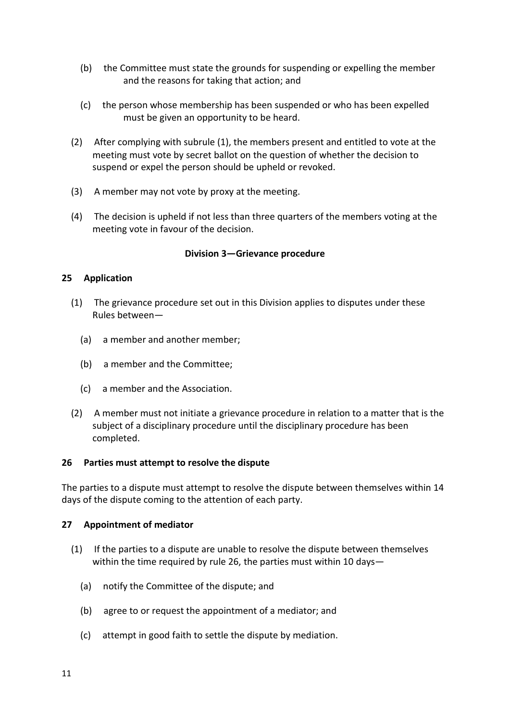- (b) the Committee must state the grounds for suspending or expelling the member and the reasons for taking that action; and
- (c) the person whose membership has been suspended or who has been expelled must be given an opportunity to be heard.
- (2) After complying with subrule (1), the members present and entitled to vote at the meeting must vote by secret ballot on the question of whether the decision to suspend or expel the person should be upheld or revoked.
- (3) A member may not vote by proxy at the meeting.
- (4) The decision is upheld if not less than three quarters of the members voting at the meeting vote in favour of the decision.

# **Division 3—Grievance procedure**

# **25 Application**

- (1) The grievance procedure set out in this Division applies to disputes under these Rules between—
	- (a) a member and another member;
	- (b) a member and the Committee;
	- (c) a member and the Association.
- (2) A member must not initiate a grievance procedure in relation to a matter that is the subject of a disciplinary procedure until the disciplinary procedure has been completed.

# **26 Parties must attempt to resolve the dispute**

The parties to a dispute must attempt to resolve the dispute between themselves within 14 days of the dispute coming to the attention of each party.

# **27 Appointment of mediator**

- (1) If the parties to a dispute are unable to resolve the dispute between themselves within the time required by rule 26, the parties must within 10 days—
	- (a) notify the Committee of the dispute; and
	- (b) agree to or request the appointment of a mediator; and
	- (c) attempt in good faith to settle the dispute by mediation.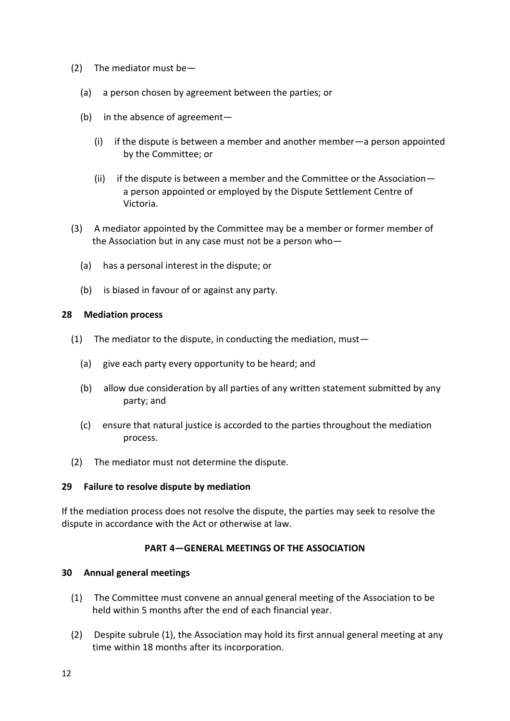- (2) The mediator must be—
	- (a) a person chosen by agreement between the parties; or
	- (b) in the absence of agreement—
		- (i) if the dispute is between a member and another member—a person appointed by the Committee; or
		- (ii) if the dispute is between a member and the Committee or the Association a person appointed or employed by the Dispute Settlement Centre of Victoria.
- (3) A mediator appointed by the Committee may be a member or former member of the Association but in any case must not be a person who—
	- (a) has a personal interest in the dispute; or
	- (b) is biased in favour of or against any party.

# **28 Mediation process**

- (1) The mediator to the dispute, in conducting the mediation, must  $-$ 
	- (a) give each party every opportunity to be heard; and
	- (b) allow due consideration by all parties of any written statement submitted by any party; and
	- (c) ensure that natural justice is accorded to the parties throughout the mediation process.
- (2) The mediator must not determine the dispute.

# **29 Failure to resolve dispute by mediation**

If the mediation process does not resolve the dispute, the parties may seek to resolve the dispute in accordance with the Act or otherwise at law.

# **PART 4—GENERAL MEETINGS OF THE ASSOCIATION**

# **30 Annual general meetings**

- (1) The Committee must convene an annual general meeting of the Association to be held within 5 months after the end of each financial year.
- (2) Despite subrule (1), the Association may hold its first annual general meeting at any time within 18 months after its incorporation.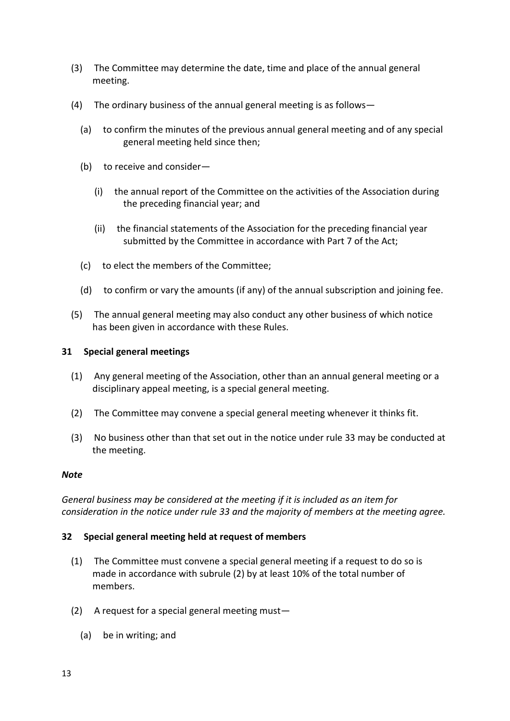- (3) The Committee may determine the date, time and place of the annual general meeting.
- (4) The ordinary business of the annual general meeting is as follows—
	- (a) to confirm the minutes of the previous annual general meeting and of any special general meeting held since then;
	- (b) to receive and consider—
		- (i) the annual report of the Committee on the activities of the Association during the preceding financial year; and
		- (ii) the financial statements of the Association for the preceding financial year submitted by the Committee in accordance with Part 7 of the Act;
	- (c) to elect the members of the Committee;
	- (d) to confirm or vary the amounts (if any) of the annual subscription and joining fee.
- (5) The annual general meeting may also conduct any other business of which notice has been given in accordance with these Rules.

# **31 Special general meetings**

- (1) Any general meeting of the Association, other than an annual general meeting or a disciplinary appeal meeting, is a special general meeting.
- (2) The Committee may convene a special general meeting whenever it thinks fit.
- (3) No business other than that set out in the notice under rule 33 may be conducted at the meeting.

# *Note*

*General business may be considered at the meeting if it is included as an item for consideration in the notice under rule 33 and the majority of members at the meeting agree.* 

# **32 Special general meeting held at request of members**

- (1) The Committee must convene a special general meeting if a request to do so is made in accordance with subrule (2) by at least 10% of the total number of members.
- (2) A request for a special general meeting must—
	- (a) be in writing; and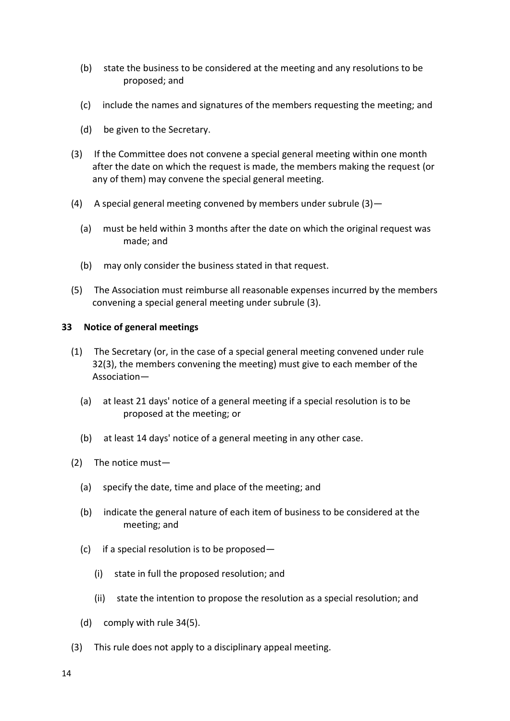- (b) state the business to be considered at the meeting and any resolutions to be proposed; and
- (c) include the names and signatures of the members requesting the meeting; and
- (d) be given to the Secretary.
- (3) If the Committee does not convene a special general meeting within one month after the date on which the request is made, the members making the request (or any of them) may convene the special general meeting.
- (4) A special general meeting convened by members under subrule  $(3)$  -
	- (a) must be held within 3 months after the date on which the original request was made; and
	- (b) may only consider the business stated in that request.
- (5) The Association must reimburse all reasonable expenses incurred by the members convening a special general meeting under subrule (3).

# **33 Notice of general meetings**

- (1) The Secretary (or, in the case of a special general meeting convened under rule 32(3), the members convening the meeting) must give to each member of the Association—
	- (a) at least 21 days' notice of a general meeting if a special resolution is to be proposed at the meeting; or
	- (b) at least 14 days' notice of a general meeting in any other case.
- (2) The notice must—
	- (a) specify the date, time and place of the meeting; and
	- (b) indicate the general nature of each item of business to be considered at the meeting; and
	- (c) if a special resolution is to be proposed—
		- (i) state in full the proposed resolution; and
		- (ii) state the intention to propose the resolution as a special resolution; and
	- (d) comply with rule 34(5).
- (3) This rule does not apply to a disciplinary appeal meeting.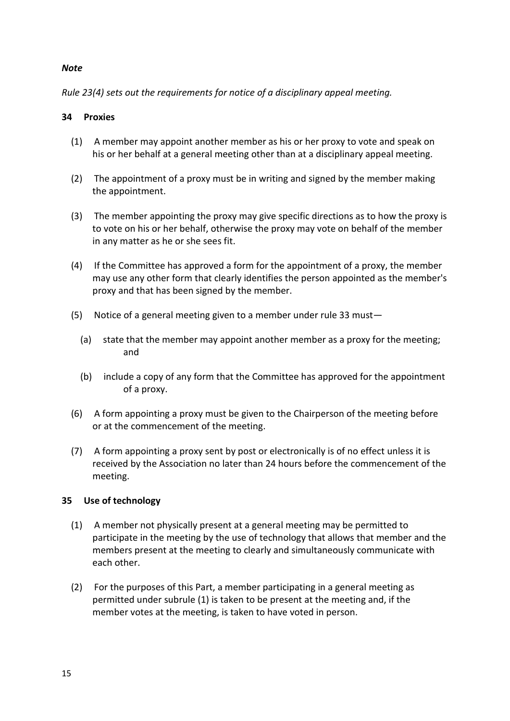# *Note*

*Rule 23(4) sets out the requirements for notice of a disciplinary appeal meeting.* 

# **34 Proxies**

- (1) A member may appoint another member as his or her proxy to vote and speak on his or her behalf at a general meeting other than at a disciplinary appeal meeting.
- (2) The appointment of a proxy must be in writing and signed by the member making the appointment.
- (3) The member appointing the proxy may give specific directions as to how the proxy is to vote on his or her behalf, otherwise the proxy may vote on behalf of the member in any matter as he or she sees fit.
- (4) If the Committee has approved a form for the appointment of a proxy, the member may use any other form that clearly identifies the person appointed as the member's proxy and that has been signed by the member.
- (5) Notice of a general meeting given to a member under rule 33 must—
	- (a) state that the member may appoint another member as a proxy for the meeting; and
	- (b) include a copy of any form that the Committee has approved for the appointment of a proxy.
- (6) A form appointing a proxy must be given to the Chairperson of the meeting before or at the commencement of the meeting.
- (7) A form appointing a proxy sent by post or electronically is of no effect unless it is received by the Association no later than 24 hours before the commencement of the meeting.

# **35 Use of technology**

- (1) A member not physically present at a general meeting may be permitted to participate in the meeting by the use of technology that allows that member and the members present at the meeting to clearly and simultaneously communicate with each other.
- (2) For the purposes of this Part, a member participating in a general meeting as permitted under subrule (1) is taken to be present at the meeting and, if the member votes at the meeting, is taken to have voted in person.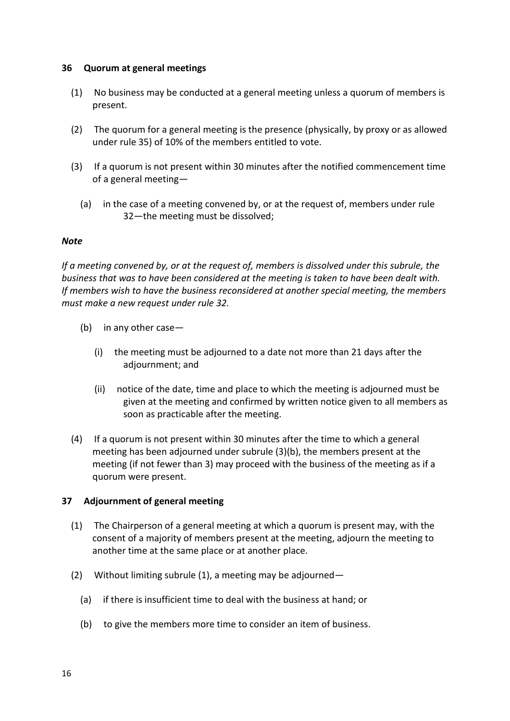# **36 Quorum at general meetings**

- (1) No business may be conducted at a general meeting unless a quorum of members is present.
- (2) The quorum for a general meeting is the presence (physically, by proxy or as allowed under rule 35) of 10% of the members entitled to vote.
- (3) If a quorum is not present within 30 minutes after the notified commencement time of a general meeting—
	- (a) in the case of a meeting convened by, or at the request of, members under rule 32—the meeting must be dissolved;

#### *Note*

*If a meeting convened by, or at the request of, members is dissolved under this subrule, the business that was to have been considered at the meeting is taken to have been dealt with. If members wish to have the business reconsidered at another special meeting, the members must make a new request under rule 32.* 

- (b) in any other case—
	- (i) the meeting must be adjourned to a date not more than 21 days after the adjournment; and
	- (ii) notice of the date, time and place to which the meeting is adjourned must be given at the meeting and confirmed by written notice given to all members as soon as practicable after the meeting.
- (4) If a quorum is not present within 30 minutes after the time to which a general meeting has been adjourned under subrule (3)(b), the members present at the meeting (if not fewer than 3) may proceed with the business of the meeting as if a quorum were present.

# **37 Adjournment of general meeting**

- (1) The Chairperson of a general meeting at which a quorum is present may, with the consent of a majority of members present at the meeting, adjourn the meeting to another time at the same place or at another place.
- (2) Without limiting subrule (1), a meeting may be adjourned—
	- (a) if there is insufficient time to deal with the business at hand; or
	- (b) to give the members more time to consider an item of business.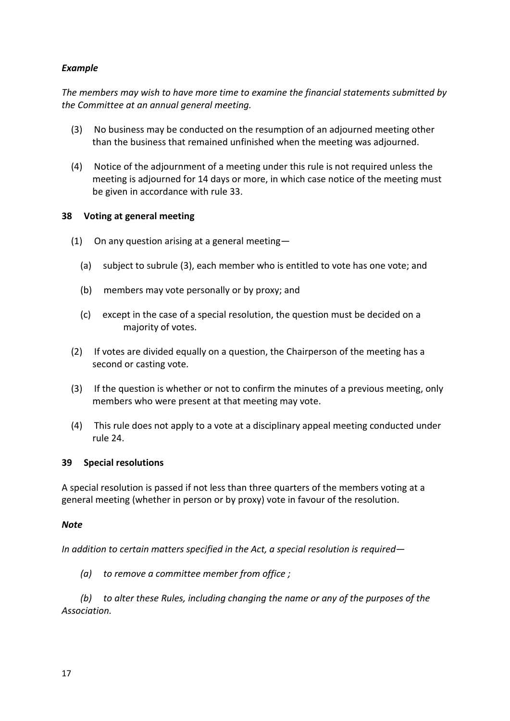# *Example*

*The members may wish to have more time to examine the financial statements submitted by the Committee at an annual general meeting.* 

- (3) No business may be conducted on the resumption of an adjourned meeting other than the business that remained unfinished when the meeting was adjourned.
- (4) Notice of the adjournment of a meeting under this rule is not required unless the meeting is adjourned for 14 days or more, in which case notice of the meeting must be given in accordance with rule 33.

# **38 Voting at general meeting**

- (1) On any question arising at a general meeting—
	- (a) subject to subrule (3), each member who is entitled to vote has one vote; and
	- (b) members may vote personally or by proxy; and
	- (c) except in the case of a special resolution, the question must be decided on a majority of votes.
- (2) If votes are divided equally on a question, the Chairperson of the meeting has a second or casting vote.
- (3) If the question is whether or not to confirm the minutes of a previous meeting, only members who were present at that meeting may vote.
- (4) This rule does not apply to a vote at a disciplinary appeal meeting conducted under rule 24.

# **39 Special resolutions**

A special resolution is passed if not less than three quarters of the members voting at a general meeting (whether in person or by proxy) vote in favour of the resolution.

# *Note*

*In addition to certain matters specified in the Act, a special resolution is required—*

*(a) to remove a committee member from office ;* 

*(b) to alter these Rules, including changing the name or any of the purposes of the Association.*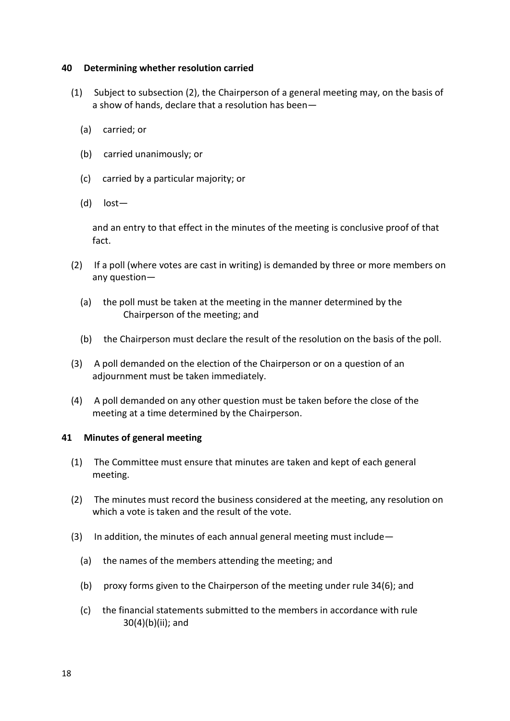## **40 Determining whether resolution carried**

- (1) Subject to subsection (2), the Chairperson of a general meeting may, on the basis of a show of hands, declare that a resolution has been—
	- (a) carried; or
	- (b) carried unanimously; or
	- (c) carried by a particular majority; or
	- (d) lost—

and an entry to that effect in the minutes of the meeting is conclusive proof of that fact.

- (2) If a poll (where votes are cast in writing) is demanded by three or more members on any question—
	- (a) the poll must be taken at the meeting in the manner determined by the Chairperson of the meeting; and
	- (b) the Chairperson must declare the result of the resolution on the basis of the poll.
- (3) A poll demanded on the election of the Chairperson or on a question of an adjournment must be taken immediately.
- (4) A poll demanded on any other question must be taken before the close of the meeting at a time determined by the Chairperson.

#### **41 Minutes of general meeting**

- (1) The Committee must ensure that minutes are taken and kept of each general meeting.
- (2) The minutes must record the business considered at the meeting, any resolution on which a vote is taken and the result of the vote.
- (3) In addition, the minutes of each annual general meeting must include—
	- (a) the names of the members attending the meeting; and
	- (b) proxy forms given to the Chairperson of the meeting under rule 34(6); and
	- (c) the financial statements submitted to the members in accordance with rule 30(4)(b)(ii); and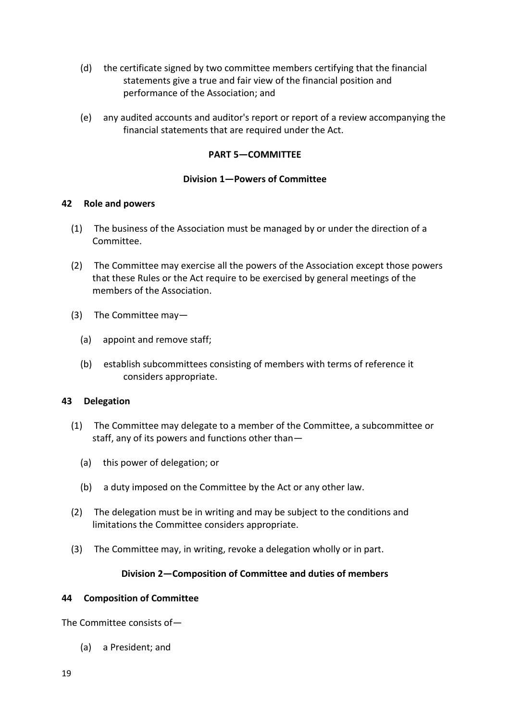- (d) the certificate signed by two committee members certifying that the financial statements give a true and fair view of the financial position and performance of the Association; and
- (e) any audited accounts and auditor's report or report of a review accompanying the financial statements that are required under the Act.

# **PART 5—COMMITTEE**

# **Division 1—Powers of Committee**

# **42 Role and powers**

- (1) The business of the Association must be managed by or under the direction of a Committee.
- (2) The Committee may exercise all the powers of the Association except those powers that these Rules or the Act require to be exercised by general meetings of the members of the Association.
- (3) The Committee may—
	- (a) appoint and remove staff;
	- (b) establish subcommittees consisting of members with terms of reference it considers appropriate.

# **43 Delegation**

- (1) The Committee may delegate to a member of the Committee, a subcommittee or staff, any of its powers and functions other than—
	- (a) this power of delegation; or
	- (b) a duty imposed on the Committee by the Act or any other law.
- (2) The delegation must be in writing and may be subject to the conditions and limitations the Committee considers appropriate.
- (3) The Committee may, in writing, revoke a delegation wholly or in part.

# **Division 2—Composition of Committee and duties of members**

# **44 Composition of Committee**

The Committee consists of—

(a) a President; and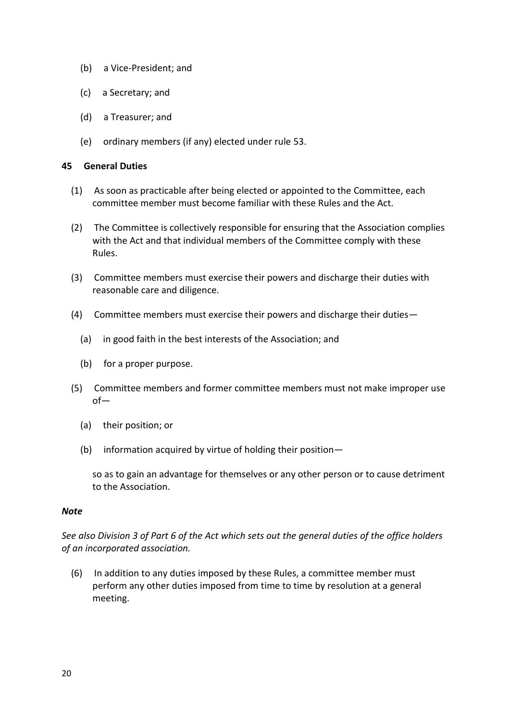- (b) a Vice-President; and
- (c) a Secretary; and
- (d) a Treasurer; and
- (e) ordinary members (if any) elected under rule 53.

# **45 General Duties**

- (1) As soon as practicable after being elected or appointed to the Committee, each committee member must become familiar with these Rules and the Act.
- (2) The Committee is collectively responsible for ensuring that the Association complies with the Act and that individual members of the Committee comply with these Rules.
- (3) Committee members must exercise their powers and discharge their duties with reasonable care and diligence.
- (4) Committee members must exercise their powers and discharge their duties—
	- (a) in good faith in the best interests of the Association; and
	- (b) for a proper purpose.
- (5) Committee members and former committee members must not make improper use of—
	- (a) their position; or
	- (b) information acquired by virtue of holding their position—

so as to gain an advantage for themselves or any other person or to cause detriment to the Association.

# *Note*

*See also Division 3 of Part 6 of the Act which sets out the general duties of the office holders of an incorporated association.* 

(6) In addition to any duties imposed by these Rules, a committee member must perform any other duties imposed from time to time by resolution at a general meeting.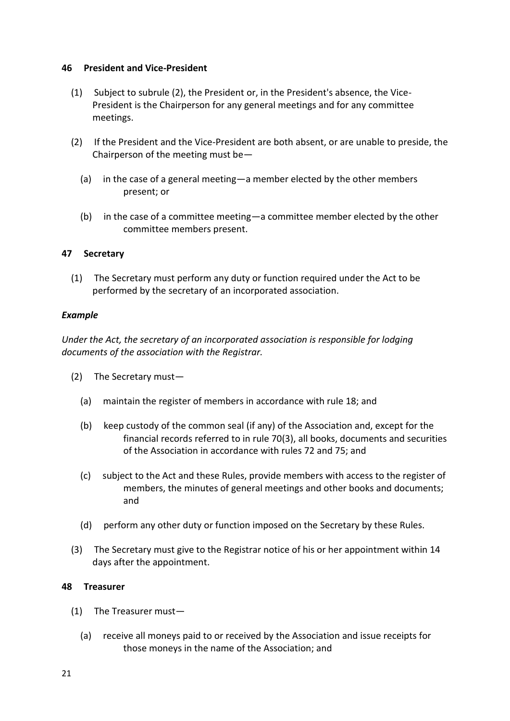# **46 President and Vice-President**

- (1) Subject to subrule (2), the President or, in the President's absence, the Vice-President is the Chairperson for any general meetings and for any committee meetings.
- (2) If the President and the Vice-President are both absent, or are unable to preside, the Chairperson of the meeting must be—
	- (a) in the case of a general meeting—a member elected by the other members present; or
	- (b) in the case of a committee meeting—a committee member elected by the other committee members present.

# **47 Secretary**

(1) The Secretary must perform any duty or function required under the Act to be performed by the secretary of an incorporated association.

# *Example*

*Under the Act, the secretary of an incorporated association is responsible for lodging documents of the association with the Registrar.* 

- (2) The Secretary must—
	- (a) maintain the register of members in accordance with rule 18; and
	- (b) keep custody of the common seal (if any) of the Association and, except for the financial records referred to in rule 70(3), all books, documents and securities of the Association in accordance with rules 72 and 75; and
	- (c) subject to the Act and these Rules, provide members with access to the register of members, the minutes of general meetings and other books and documents; and
	- (d) perform any other duty or function imposed on the Secretary by these Rules.
- (3) The Secretary must give to the Registrar notice of his or her appointment within 14 days after the appointment.

# **48 Treasurer**

- (1) The Treasurer must—
	- (a) receive all moneys paid to or received by the Association and issue receipts for those moneys in the name of the Association; and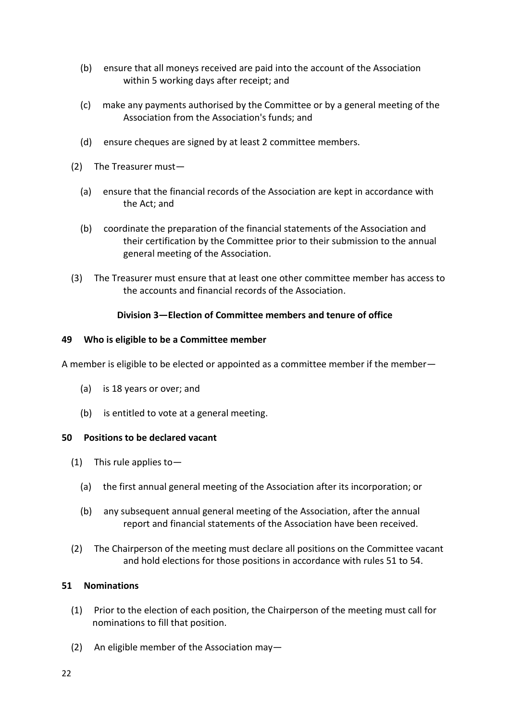- (b) ensure that all moneys received are paid into the account of the Association within 5 working days after receipt; and
- (c) make any payments authorised by the Committee or by a general meeting of the Association from the Association's funds; and
- (d) ensure cheques are signed by at least 2 committee members.
- (2) The Treasurer must—
	- (a) ensure that the financial records of the Association are kept in accordance with the Act; and
	- (b) coordinate the preparation of the financial statements of the Association and their certification by the Committee prior to their submission to the annual general meeting of the Association.
- (3) The Treasurer must ensure that at least one other committee member has access to the accounts and financial records of the Association.

# **Division 3—Election of Committee members and tenure of office**

# **49 Who is eligible to be a Committee member**

A member is eligible to be elected or appointed as a committee member if the member—

- (a) is 18 years or over; and
- (b) is entitled to vote at a general meeting.

# **50 Positions to be declared vacant**

- (1) This rule applies to—
	- (a) the first annual general meeting of the Association after its incorporation; or
	- (b) any subsequent annual general meeting of the Association, after the annual report and financial statements of the Association have been received.
- (2) The Chairperson of the meeting must declare all positions on the Committee vacant and hold elections for those positions in accordance with rules 51 to 54.

# **51 Nominations**

- (1) Prior to the election of each position, the Chairperson of the meeting must call for nominations to fill that position.
- (2) An eligible member of the Association may—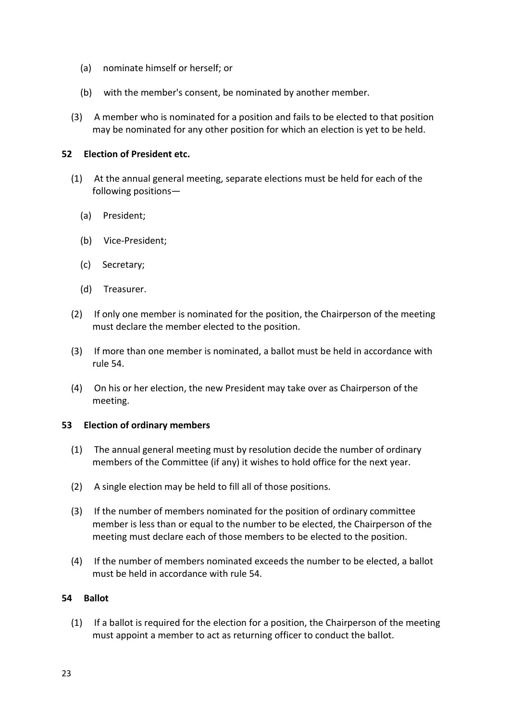- (a) nominate himself or herself; or
- (b) with the member's consent, be nominated by another member.
- (3) A member who is nominated for a position and fails to be elected to that position may be nominated for any other position for which an election is yet to be held.

# **52 Election of President etc.**

- (1) At the annual general meeting, separate elections must be held for each of the following positions—
	- (a) President;
	- (b) Vice-President;
	- (c) Secretary;
	- (d) Treasurer.
- (2) If only one member is nominated for the position, the Chairperson of the meeting must declare the member elected to the position.
- (3) If more than one member is nominated, a ballot must be held in accordance with rule 54.
- (4) On his or her election, the new President may take over as Chairperson of the meeting.

# **53 Election of ordinary members**

- (1) The annual general meeting must by resolution decide the number of ordinary members of the Committee (if any) it wishes to hold office for the next year.
- (2) A single election may be held to fill all of those positions.
- (3) If the number of members nominated for the position of ordinary committee member is less than or equal to the number to be elected, the Chairperson of the meeting must declare each of those members to be elected to the position.
- (4) If the number of members nominated exceeds the number to be elected, a ballot must be held in accordance with rule 54.

# **54 Ballot**

(1) If a ballot is required for the election for a position, the Chairperson of the meeting must appoint a member to act as returning officer to conduct the ballot.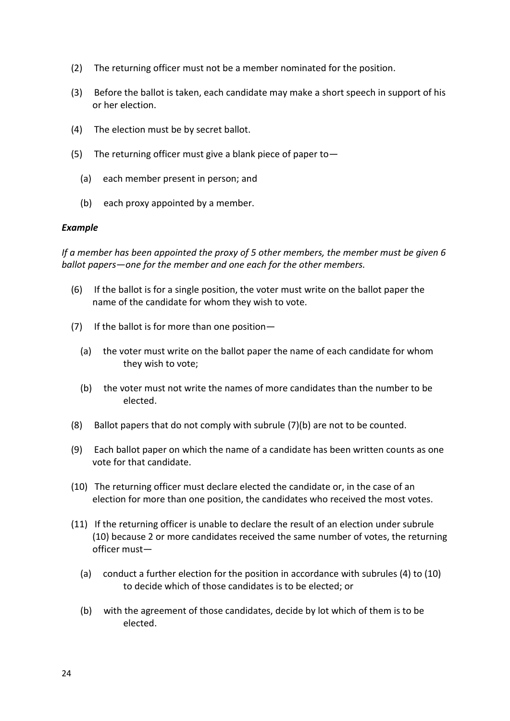- (2) The returning officer must not be a member nominated for the position.
- (3) Before the ballot is taken, each candidate may make a short speech in support of his or her election.
- (4) The election must be by secret ballot.
- (5) The returning officer must give a blank piece of paper to  $-$ 
	- (a) each member present in person; and
	- (b) each proxy appointed by a member.

# *Example*

*If a member has been appointed the proxy of 5 other members, the member must be given 6 ballot papers—one for the member and one each for the other members.* 

- (6) If the ballot is for a single position, the voter must write on the ballot paper the name of the candidate for whom they wish to vote.
- (7) If the ballot is for more than one position—
	- (a) the voter must write on the ballot paper the name of each candidate for whom they wish to vote;
	- (b) the voter must not write the names of more candidates than the number to be elected.
- (8) Ballot papers that do not comply with subrule (7)(b) are not to be counted.
- (9) Each ballot paper on which the name of a candidate has been written counts as one vote for that candidate.
- (10) The returning officer must declare elected the candidate or, in the case of an election for more than one position, the candidates who received the most votes.
- (11) If the returning officer is unable to declare the result of an election under subrule (10) because 2 or more candidates received the same number of votes, the returning officer must—
	- (a) conduct a further election for the position in accordance with subrules (4) to (10) to decide which of those candidates is to be elected; or
	- (b) with the agreement of those candidates, decide by lot which of them is to be elected.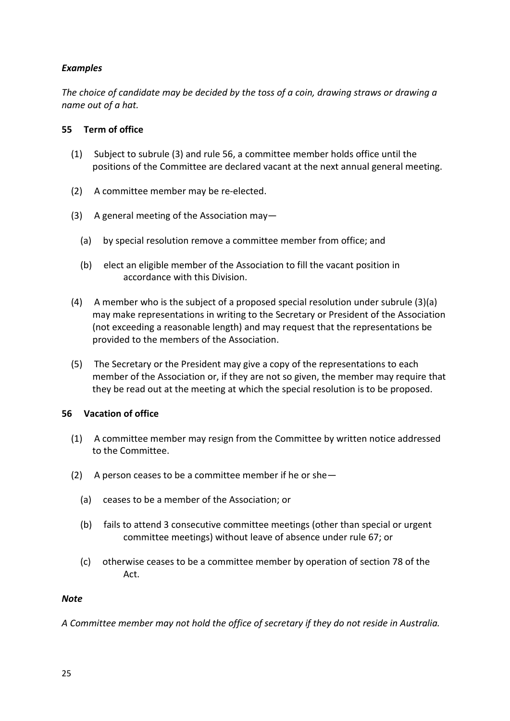# *Examples*

*The choice of candidate may be decided by the toss of a coin, drawing straws or drawing a name out of a hat.*

# **55 Term of office**

- (1) Subject to subrule (3) and rule 56, a committee member holds office until the positions of the Committee are declared vacant at the next annual general meeting.
- (2) A committee member may be re-elected.
- (3) A general meeting of the Association may—
	- (a) by special resolution remove a committee member from office; and
	- (b) elect an eligible member of the Association to fill the vacant position in accordance with this Division.
- (4) A member who is the subject of a proposed special resolution under subrule (3)(a) may make representations in writing to the Secretary or President of the Association (not exceeding a reasonable length) and may request that the representations be provided to the members of the Association.
- (5) The Secretary or the President may give a copy of the representations to each member of the Association or, if they are not so given, the member may require that they be read out at the meeting at which the special resolution is to be proposed.

# **56 Vacation of office**

- (1) A committee member may resign from the Committee by written notice addressed to the Committee.
- (2) A person ceases to be a committee member if he or she  $-$ 
	- (a) ceases to be a member of the Association; or
	- (b) fails to attend 3 consecutive committee meetings (other than special or urgent committee meetings) without leave of absence under rule 67; or
	- (c) otherwise ceases to be a committee member by operation of section 78 of the Act.

# *Note*

*A Committee member may not hold the office of secretary if they do not reside in Australia.*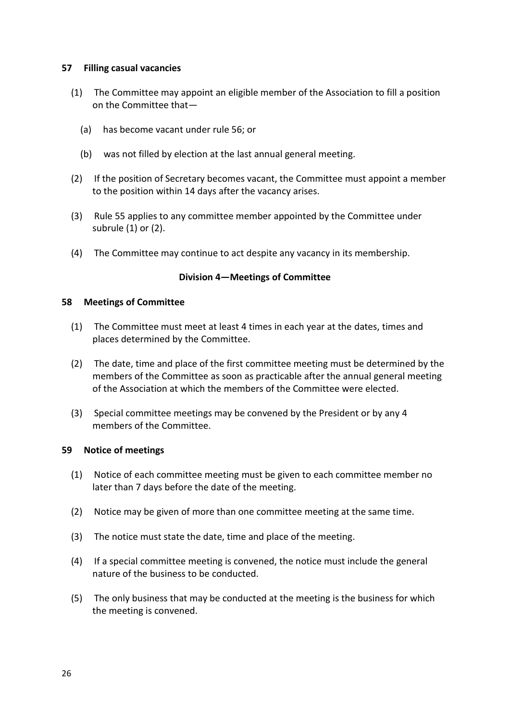# **57 Filling casual vacancies**

- (1) The Committee may appoint an eligible member of the Association to fill a position on the Committee that—
	- (a) has become vacant under rule 56; or
	- (b) was not filled by election at the last annual general meeting.
- (2) If the position of Secretary becomes vacant, the Committee must appoint a member to the position within 14 days after the vacancy arises.
- (3) Rule 55 applies to any committee member appointed by the Committee under subrule (1) or (2).
- (4) The Committee may continue to act despite any vacancy in its membership.

# **Division 4—Meetings of Committee**

#### **58 Meetings of Committee**

- (1) The Committee must meet at least 4 times in each year at the dates, times and places determined by the Committee.
- (2) The date, time and place of the first committee meeting must be determined by the members of the Committee as soon as practicable after the annual general meeting of the Association at which the members of the Committee were elected.
- (3) Special committee meetings may be convened by the President or by any 4 members of the Committee.

# **59 Notice of meetings**

- (1) Notice of each committee meeting must be given to each committee member no later than 7 days before the date of the meeting.
- (2) Notice may be given of more than one committee meeting at the same time.
- (3) The notice must state the date, time and place of the meeting.
- (4) If a special committee meeting is convened, the notice must include the general nature of the business to be conducted.
- (5) The only business that may be conducted at the meeting is the business for which the meeting is convened.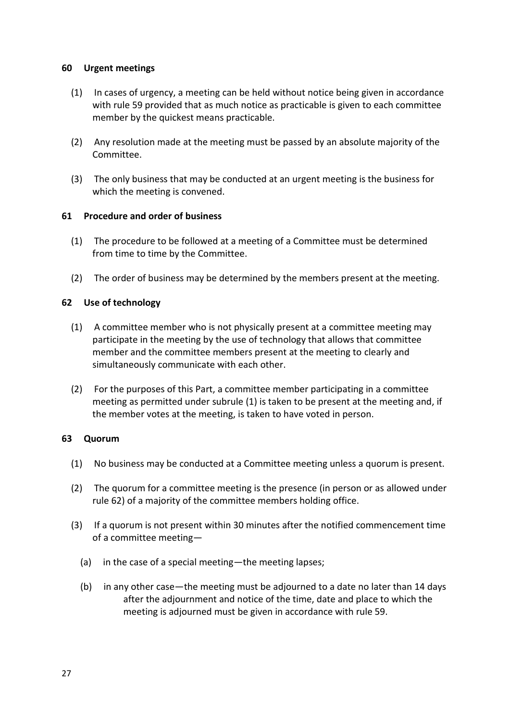# **60 Urgent meetings**

- (1) In cases of urgency, a meeting can be held without notice being given in accordance with rule 59 provided that as much notice as practicable is given to each committee member by the quickest means practicable.
- (2) Any resolution made at the meeting must be passed by an absolute majority of the Committee.
- (3) The only business that may be conducted at an urgent meeting is the business for which the meeting is convened.

# **61 Procedure and order of business**

- (1) The procedure to be followed at a meeting of a Committee must be determined from time to time by the Committee.
- (2) The order of business may be determined by the members present at the meeting.

# **62 Use of technology**

- (1) A committee member who is not physically present at a committee meeting may participate in the meeting by the use of technology that allows that committee member and the committee members present at the meeting to clearly and simultaneously communicate with each other.
- (2) For the purposes of this Part, a committee member participating in a committee meeting as permitted under subrule (1) is taken to be present at the meeting and, if the member votes at the meeting, is taken to have voted in person.

# **63 Quorum**

- (1) No business may be conducted at a Committee meeting unless a quorum is present.
- (2) The quorum for a committee meeting is the presence (in person or as allowed under rule 62) of a majority of the committee members holding office.
- (3) If a quorum is not present within 30 minutes after the notified commencement time of a committee meeting—
	- (a) in the case of a special meeting—the meeting lapses;
	- (b) in any other case—the meeting must be adjourned to a date no later than 14 days after the adjournment and notice of the time, date and place to which the meeting is adjourned must be given in accordance with rule 59.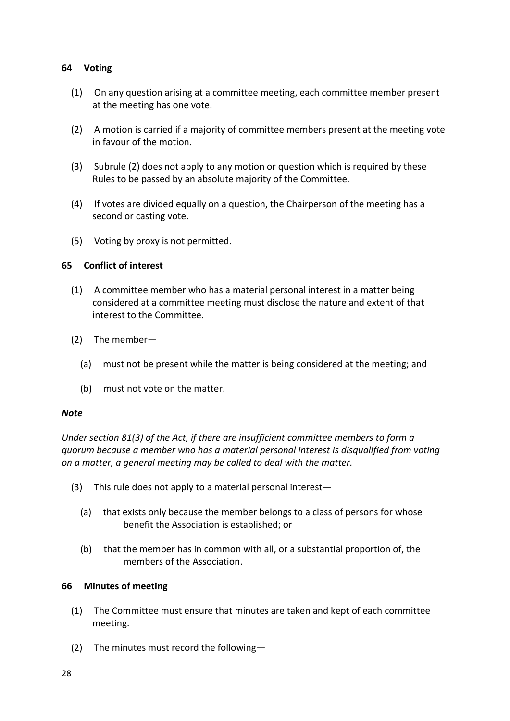# **64 Voting**

- (1) On any question arising at a committee meeting, each committee member present at the meeting has one vote.
- (2) A motion is carried if a majority of committee members present at the meeting vote in favour of the motion.
- (3) Subrule (2) does not apply to any motion or question which is required by these Rules to be passed by an absolute majority of the Committee.
- (4) If votes are divided equally on a question, the Chairperson of the meeting has a second or casting vote.
- (5) Voting by proxy is not permitted.

# **65 Conflict of interest**

- (1) A committee member who has a material personal interest in a matter being considered at a committee meeting must disclose the nature and extent of that interest to the Committee.
- (2) The member—
	- (a) must not be present while the matter is being considered at the meeting; and
	- (b) must not vote on the matter.

# *Note*

*Under section 81(3) of the Act, if there are insufficient committee members to form a quorum because a member who has a material personal interest is disqualified from voting on a matter, a general meeting may be called to deal with the matter.* 

- (3) This rule does not apply to a material personal interest—
	- (a) that exists only because the member belongs to a class of persons for whose benefit the Association is established; or
	- (b) that the member has in common with all, or a substantial proportion of, the members of the Association.

# **66 Minutes of meeting**

- (1) The Committee must ensure that minutes are taken and kept of each committee meeting.
- (2) The minutes must record the following—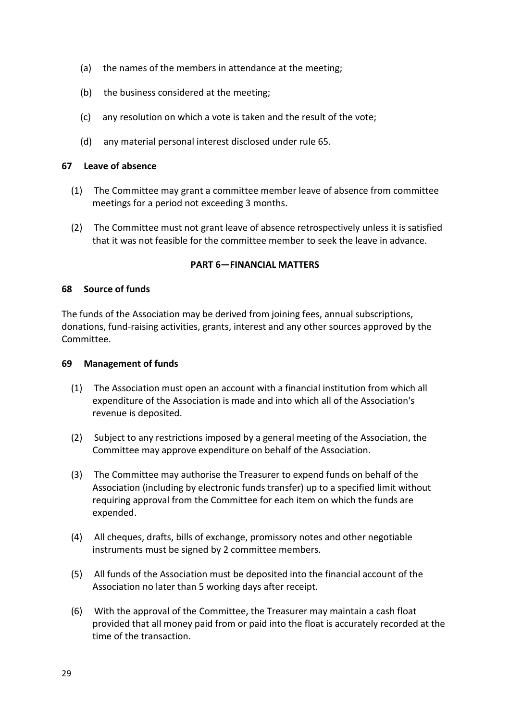- (a) the names of the members in attendance at the meeting;
- (b) the business considered at the meeting;
- (c) any resolution on which a vote is taken and the result of the vote;
- (d) any material personal interest disclosed under rule 65.

# **67 Leave of absence**

- (1) The Committee may grant a committee member leave of absence from committee meetings for a period not exceeding 3 months.
- (2) The Committee must not grant leave of absence retrospectively unless it is satisfied that it was not feasible for the committee member to seek the leave in advance.

# **PART 6—FINANCIAL MATTERS**

# **68 Source of funds**

The funds of the Association may be derived from joining fees, annual subscriptions, donations, fund-raising activities, grants, interest and any other sources approved by the Committee.

# **69 Management of funds**

- (1) The Association must open an account with a financial institution from which all expenditure of the Association is made and into which all of the Association's revenue is deposited.
- (2) Subject to any restrictions imposed by a general meeting of the Association, the Committee may approve expenditure on behalf of the Association.
- (3) The Committee may authorise the Treasurer to expend funds on behalf of the Association (including by electronic funds transfer) up to a specified limit without requiring approval from the Committee for each item on which the funds are expended.
- (4) All cheques, drafts, bills of exchange, promissory notes and other negotiable instruments must be signed by 2 committee members.
- (5) All funds of the Association must be deposited into the financial account of the Association no later than 5 working days after receipt.
- (6) With the approval of the Committee, the Treasurer may maintain a cash float provided that all money paid from or paid into the float is accurately recorded at the time of the transaction.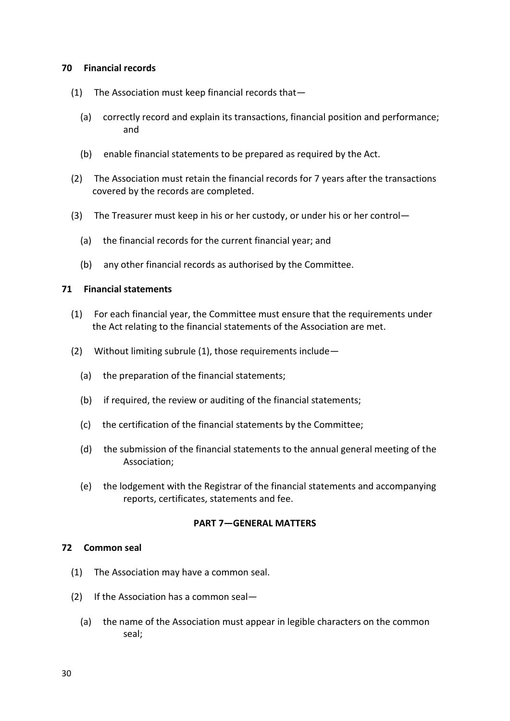# **70 Financial records**

- (1) The Association must keep financial records that—
	- (a) correctly record and explain its transactions, financial position and performance; and
	- (b) enable financial statements to be prepared as required by the Act.
- (2) The Association must retain the financial records for 7 years after the transactions covered by the records are completed.
- (3) The Treasurer must keep in his or her custody, or under his or her control—
	- (a) the financial records for the current financial year; and
	- (b) any other financial records as authorised by the Committee.

#### **71 Financial statements**

- (1) For each financial year, the Committee must ensure that the requirements under the Act relating to the financial statements of the Association are met.
- (2) Without limiting subrule (1), those requirements include—
	- (a) the preparation of the financial statements;
	- (b) if required, the review or auditing of the financial statements;
	- (c) the certification of the financial statements by the Committee;
	- (d) the submission of the financial statements to the annual general meeting of the Association;
	- (e) the lodgement with the Registrar of the financial statements and accompanying reports, certificates, statements and fee.

#### **PART 7—GENERAL MATTERS**

#### **72 Common seal**

- (1) The Association may have a common seal.
- (2) If the Association has a common seal—
	- (a) the name of the Association must appear in legible characters on the common seal;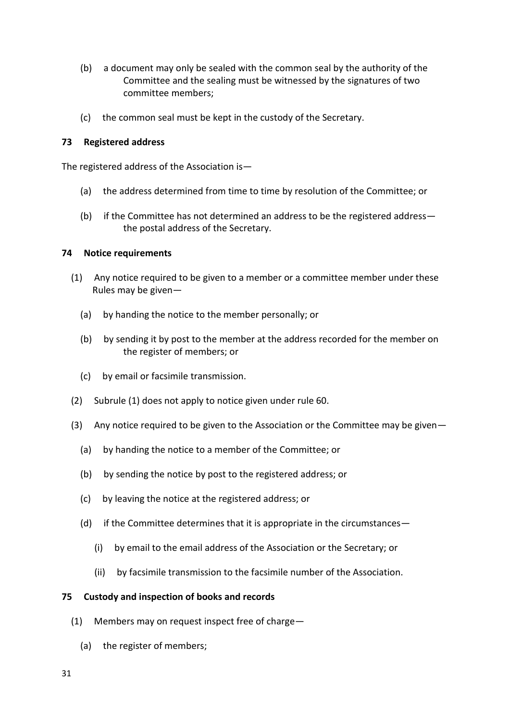- (b) a document may only be sealed with the common seal by the authority of the Committee and the sealing must be witnessed by the signatures of two committee members;
- (c) the common seal must be kept in the custody of the Secretary.

# **73 Registered address**

The registered address of the Association is—

- (a) the address determined from time to time by resolution of the Committee; or
- (b) if the Committee has not determined an address to be the registered address the postal address of the Secretary.

# **74 Notice requirements**

- (1) Any notice required to be given to a member or a committee member under these Rules may be given—
	- (a) by handing the notice to the member personally; or
	- (b) by sending it by post to the member at the address recorded for the member on the register of members; or
	- (c) by email or facsimile transmission.
- (2) Subrule (1) does not apply to notice given under rule 60.
- (3) Any notice required to be given to the Association or the Committee may be given—
	- (a) by handing the notice to a member of the Committee; or
	- (b) by sending the notice by post to the registered address; or
	- (c) by leaving the notice at the registered address; or
	- (d) if the Committee determines that it is appropriate in the circumstances—
		- (i) by email to the email address of the Association or the Secretary; or
		- (ii) by facsimile transmission to the facsimile number of the Association.

# **75 Custody and inspection of books and records**

- (1) Members may on request inspect free of charge—
	- (a) the register of members;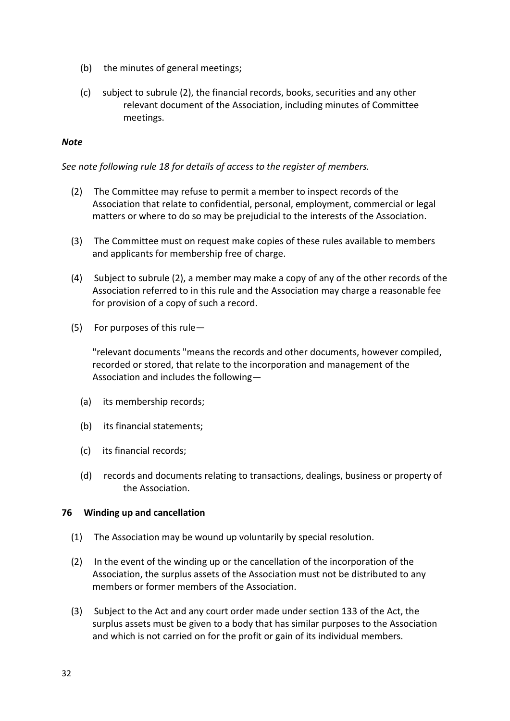- (b) the minutes of general meetings;
- (c) subject to subrule (2), the financial records, books, securities and any other relevant document of the Association, including minutes of Committee meetings.

## *Note*

*See note following rule 18 for details of access to the register of members.* 

- (2) The Committee may refuse to permit a member to inspect records of the Association that relate to confidential, personal, employment, commercial or legal matters or where to do so may be prejudicial to the interests of the Association.
- (3) The Committee must on request make copies of these rules available to members and applicants for membership free of charge.
- (4) Subject to subrule (2), a member may make a copy of any of the other records of the Association referred to in this rule and the Association may charge a reasonable fee for provision of a copy of such a record.
- (5) For purposes of this rule—

"relevant documents "means the records and other documents, however compiled, recorded or stored, that relate to the incorporation and management of the Association and includes the following—

- (a) its membership records;
- (b) its financial statements;
- (c) its financial records;
- (d) records and documents relating to transactions, dealings, business or property of the Association.

# **76 Winding up and cancellation**

- (1) The Association may be wound up voluntarily by special resolution.
- (2) In the event of the winding up or the cancellation of the incorporation of the Association, the surplus assets of the Association must not be distributed to any members or former members of the Association.
- (3) Subject to the Act and any court order made under section 133 of the Act, the surplus assets must be given to a body that has similar purposes to the Association and which is not carried on for the profit or gain of its individual members.